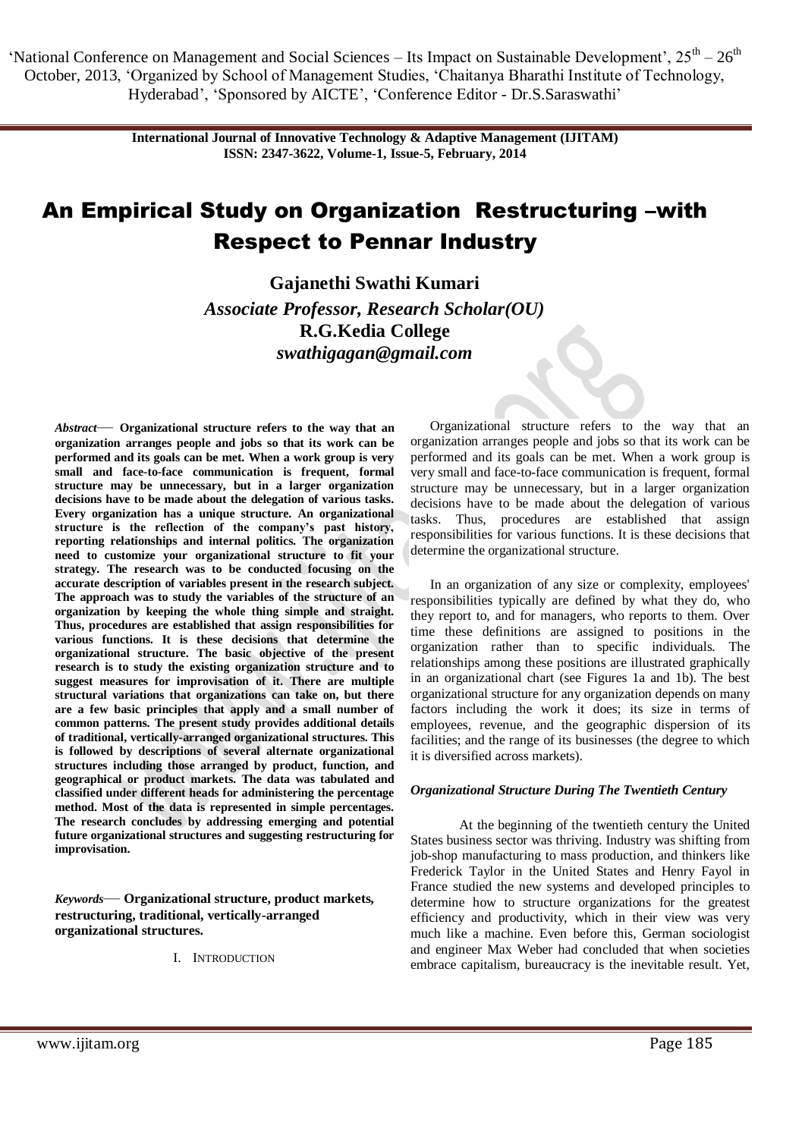> **International Journal of Innovative Technology & Adaptive Management (IJITAM) ISSN: 2347-3622, Volume-1, Issue-5, February, 2014**

# An Empirical Study on Organization Restructuring –with Respect to Pennar Industry

**Gajanethi Swathi Kumari** *Associate Professor, Research Scholar(OU)* **R.G.Kedia College** *swathigagan@gmail.com*

*Abstract*— **Organizational structure refers to the way that an organization arranges people and jobs so that its work can be performed and its goals can be met. When a work group is very small and face-to-face communication is frequent, formal structure may be unnecessary, but in a larger organization decisions have to be made about the delegation of various tasks. Every organization has a unique structure. An organizational structure is the reflection of the company's past history, reporting relationships and internal politics. The organization need to customize your organizational structure to fit your strategy. The research was to be conducted focusing on the accurate description of variables present in the research subject. The approach was to study the variables of the structure of an organization by keeping the whole thing simple and straight. Thus, procedures are established that assign responsibilities for various functions. It is these decisions that determine the organizational structure. The basic objective of the present research is to study the existing organization structure and to suggest measures for improvisation of it. There are multiple structural variations that organizations can take on, but there are a few basic principles that apply and a small number of common patterns. The present study provides additional details of traditional, vertically-arranged organizational structures. This is followed by descriptions of several alternate organizational structures including those arranged by product, function, and geographical or product markets. The data was tabulated and classified under different heads for administering the percentage method. Most of the data is represented in simple percentages. The research concludes by addressing emerging and potential future organizational structures and suggesting restructuring for improvisation.**

*Keywords*— **Organizational structure, product markets, restructuring, traditional, vertically-arranged organizational structures.**

I. INTRODUCTION

Organizational structure refers to the way that an organization arranges people and jobs so that its work can be performed and its goals can be met. When a work group is very small and face-to-face communication is frequent, formal structure may be unnecessary, but in a larger organization decisions have to be made about the delegation of various tasks. Thus, procedures are established that assign responsibilities for various functions. It is these decisions that determine the organizational structure.

In an organization of any size or complexity, employees' responsibilities typically are defined by what they do, who they report to, and for managers, who reports to them. Over time these definitions are assigned to positions in the organization rather than to specific individuals. The relationships among these positions are illustrated graphically in an organizational chart (see Figures 1a and 1b). The best organizational structure for any organization depends on many factors including the work it does; its size in terms of employees, revenue, and the geographic dispersion of its facilities; and the range of its businesses (the degree to which it is diversified across markets).

#### *Organizational Structure During The Twentieth Century*

At the beginning of the twentieth century the United States business sector was thriving. Industry was shifting from job-shop manufacturing to mass production, and thinkers like Frederick Taylor in the United States and Henry Fayol in France studied the new systems and developed principles to determine how to structure organizations for the greatest efficiency and productivity, which in their view was very much like a machine. Even before this, German sociologist and engineer Max Weber had concluded that when societies embrace capitalism, bureaucracy is the inevitable result. Yet,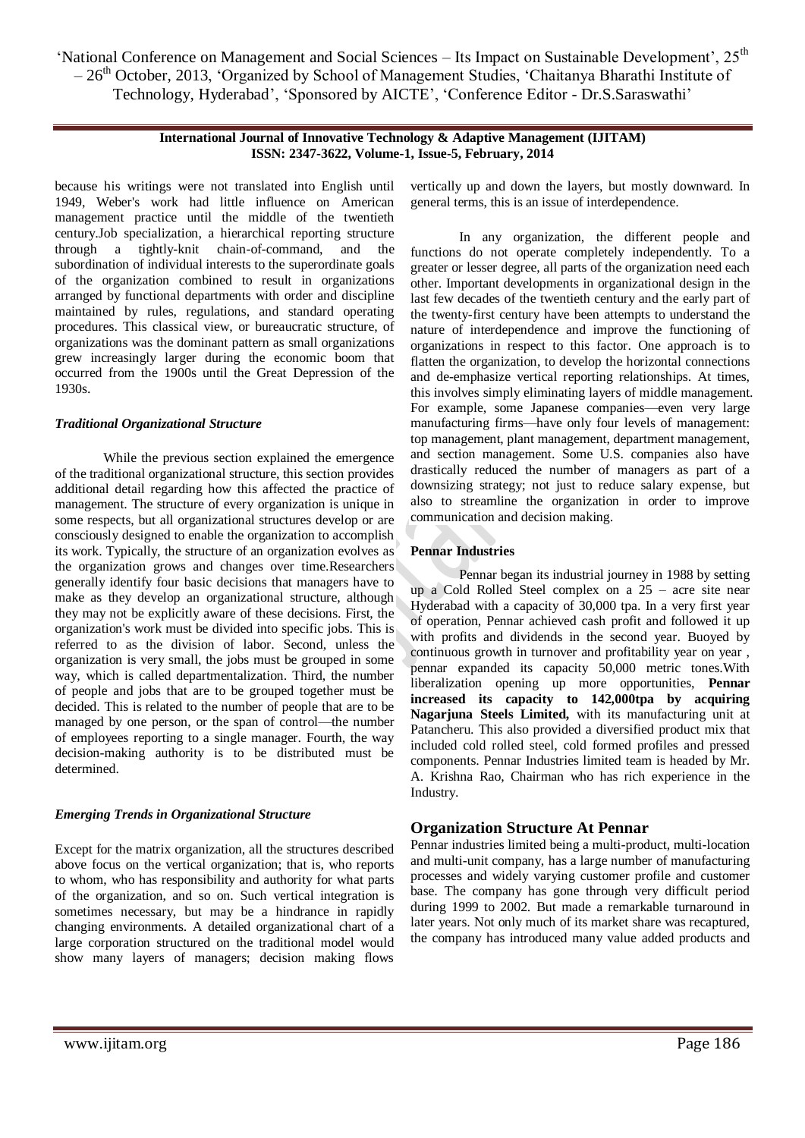#### **International Journal of Innovative Technology & Adaptive Management (IJITAM) ISSN: 2347-3622, Volume-1, Issue-5, February, 2014**

because his writings were not translated into English until 1949, Weber's work had little influence on American management practice until the middle of the twentieth century.Job specialization, a hierarchical reporting structure through a tightly-knit chain-of-command, and the subordination of individual interests to the superordinate goals of the organization combined to result in organizations arranged by functional departments with order and discipline maintained by rules, regulations, and standard operating procedures. This classical view, or bureaucratic structure, of organizations was the dominant pattern as small organizations grew increasingly larger during the economic boom that occurred from the 1900s until the Great Depression of the 1930s.

#### *Traditional Organizational Structure*

While the previous section explained the emergence of the traditional organizational structure, this section provides additional detail regarding how this affected the practice of management. The structure of every organization is unique in some respects, but all organizational structures develop or are consciously designed to enable the organization to accomplish its work. Typically, the structure of an organization evolves as the organization grows and changes over time.Researchers generally identify four basic decisions that managers have to make as they develop an organizational structure, although they may not be explicitly aware of these decisions. First, the organization's work must be divided into specific jobs. This is referred to as the division of labor. Second, unless the organization is very small, the jobs must be grouped in some way, which is called departmentalization. Third, the number of people and jobs that are to be grouped together must be decided. This is related to the number of people that are to be managed by one person, or the span of control—the number of employees reporting to a single manager. Fourth, the way decision-making authority is to be distributed must be determined.

#### *Emerging Trends in Organizational Structure*

Except for the matrix organization, all the structures described above focus on the vertical organization; that is, who reports to whom, who has responsibility and authority for what parts of the organization, and so on. Such vertical integration is sometimes necessary, but may be a hindrance in rapidly changing environments. A detailed organizational chart of a large corporation structured on the traditional model would show many layers of managers; decision making flows

vertically up and down the layers, but mostly downward. In general terms, this is an issue of interdependence.

In any organization, the different people and functions do not operate completely independently. To a greater or lesser degree, all parts of the organization need each other. Important developments in organizational design in the last few decades of the twentieth century and the early part of the twenty-first century have been attempts to understand the nature of interdependence and improve the functioning of organizations in respect to this factor. One approach is to flatten the organization, to develop the horizontal connections and de-emphasize vertical reporting relationships. At times, this involves simply eliminating layers of middle management. For example, some Japanese companies—even very large manufacturing firms—have only four levels of management: top management, plant management, department management, and section management. Some U.S. companies also have drastically reduced the number of managers as part of a downsizing strategy; not just to reduce salary expense, but also to streamline the organization in order to improve communication and decision making.

#### **Pennar Industries**

Pennar began its industrial journey in 1988 by setting up a Cold Rolled Steel complex on a 25 – acre site near Hyderabad with a capacity of 30,000 tpa. In a very first year of operation, Pennar achieved cash profit and followed it up with profits and dividends in the second year. Buoyed by continuous growth in turnover and profitability year on year , pennar expanded its capacity 50,000 metric tones.With liberalization opening up more opportunities, **Pennar increased its capacity to 142,000tpa by acquiring Nagarjuna Steels Limited,** with its manufacturing unit at Patancheru. This also provided a diversified product mix that included cold rolled steel, cold formed profiles and pressed components. Pennar Industries limited team is headed by Mr. A. Krishna Rao, Chairman who has rich experience in the Industry.

## **Organization Structure At Pennar**

Pennar industries limited being a multi-product, multi-location and multi-unit company, has a large number of manufacturing processes and widely varying customer profile and customer base. The company has gone through very difficult period during 1999 to 2002. But made a remarkable turnaround in later years. Not only much of its market share was recaptured, the company has introduced many value added products and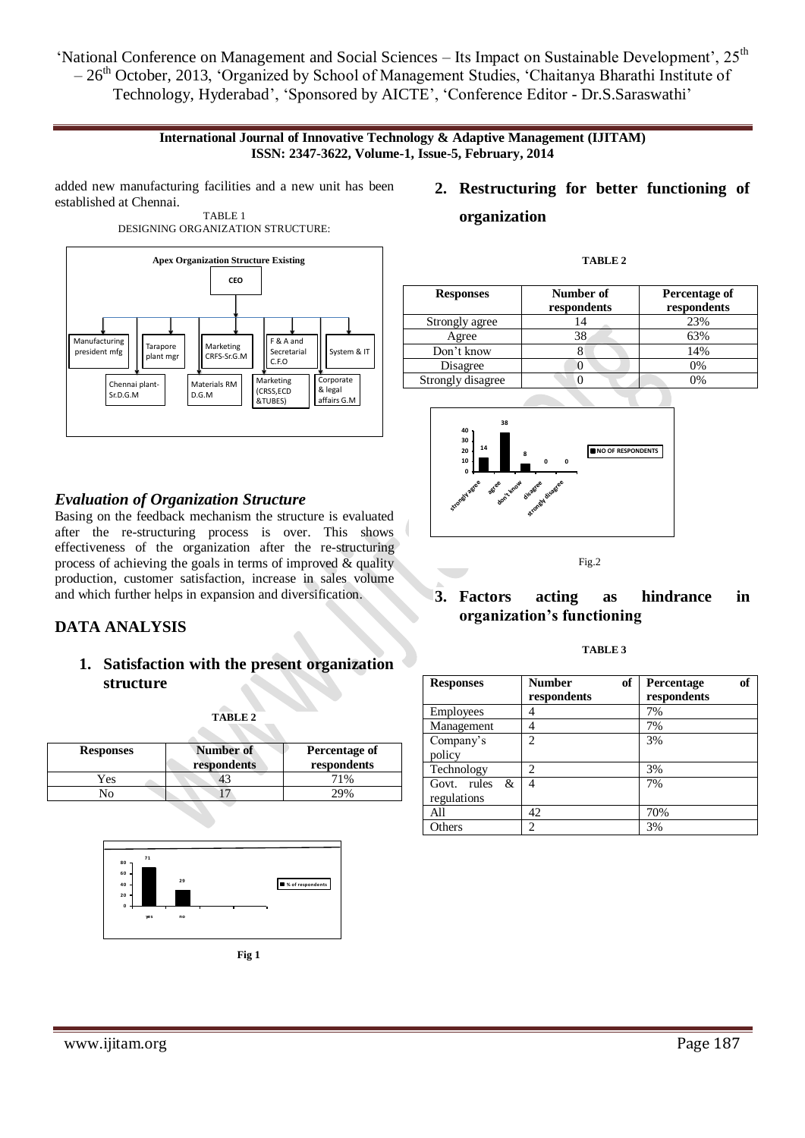#### **International Journal of Innovative Technology & Adaptive Management (IJITAM) ISSN: 2347-3622, Volume-1, Issue-5, February, 2014**

added new manufacturing facilities and a new unit has been established at Chennai.

TABLE 1 DESIGNING ORGANIZATION STRUCTURE:



## *Evaluation of Organization Structure*

Basing on the feedback mechanism the structure is evaluated after the re-structuring process is over. This shows effectiveness of the organization after the re-structuring process of achieving the goals in terms of improved  $\&$  quality production, customer satisfaction, increase in sales volume and which further helps in expansion and diversification.

# **DATA ANALYSIS**

# **1. Satisfaction with the present organization structure**

| u<br><br>r. |  |
|-------------|--|
|             |  |

| <b>Responses</b> | Number of<br>respondents | Percentage of<br>respondents |  |  |  |
|------------------|--------------------------|------------------------------|--|--|--|
| Yes              |                          | 1%                           |  |  |  |
|                  |                          |                              |  |  |  |



# **2. Restructuring for better functioning of organization**

| ш<br>۹ |  |
|--------|--|
|--------|--|

| <b>Responses</b>  | Number of<br>respondents | Percentage of<br>respondents |
|-------------------|--------------------------|------------------------------|
| Strongly agree    | 14                       | 23%                          |
| Agree             | 38                       | 63%                          |
| Don't know        |                          | 14%                          |
| Disagree          |                          | 0%                           |
| Strongly disagree |                          | በ%                           |



Fig.2

**3. Factors acting as hindrance in organization's functioning**

#### **TABLE 3**

| <b>Responses</b>                       | of<br><b>Number</b><br>respondents | of<br><b>Percentage</b><br>respondents |
|----------------------------------------|------------------------------------|----------------------------------------|
| Employees                              |                                    | 7%                                     |
| Management                             |                                    | 7%                                     |
| Company's<br>policy                    | $\overline{c}$                     | 3%                                     |
| Technology                             | $\mathfrak{D}$                     | 3%                                     |
| Govt. rules<br>$\alpha$<br>regulations | 4                                  | 7%                                     |
| All                                    | 42                                 | 70%                                    |
| Others                                 | 2                                  | 3%                                     |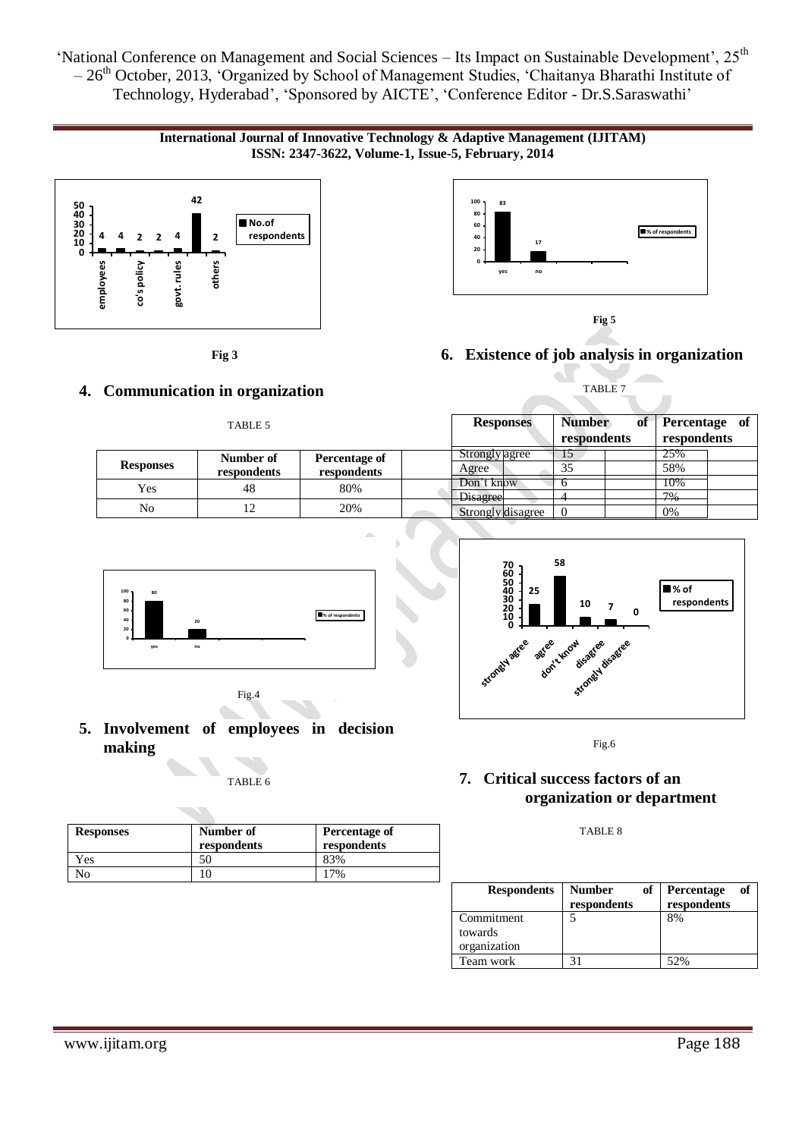





**Fig 5**

**6. Existence of job analysis in organization**

TABLE 7

 $\overline{\phantom{0}}$ 

Л

# **4. Communication in organization**

**Fig 3**

|                  | TABLE 5                  |                                     | <b>Responses</b>                        | <b>Number</b><br>of<br>respondents | Percentage of<br>respondents |
|------------------|--------------------------|-------------------------------------|-----------------------------------------|------------------------------------|------------------------------|
| <b>Responses</b> | Number of<br>respondents | <b>Percentage of</b><br>respondents | Strongly agree<br>Agree                 | IJ<br>35                           | 25%<br>58%                   |
| Yes              | 48                       | 80%                                 | Don't know<br>Disamee'                  |                                    | 10%<br>70/                   |
| No               | 12                       | 20%                                 | $P_{\text{total}}$<br>Strongly disagree |                                    | 770<br>0%                    |







| <b>Responses</b> | Number of   | Percentage of |
|------------------|-------------|---------------|
|                  | respondents | respondents   |
| 7es              |             | 83%           |
|                  |             | 7%            |



Fig.6

# **7. Critical success factors of an organization or department**

TABLE 8

| <b>Respondents</b>                    | <b>Number</b><br>of<br>respondents | of<br><b>Percentage</b><br>respondents |
|---------------------------------------|------------------------------------|----------------------------------------|
| Commitment<br>towards<br>organization |                                    | 8%                                     |
| Team work                             |                                    |                                        |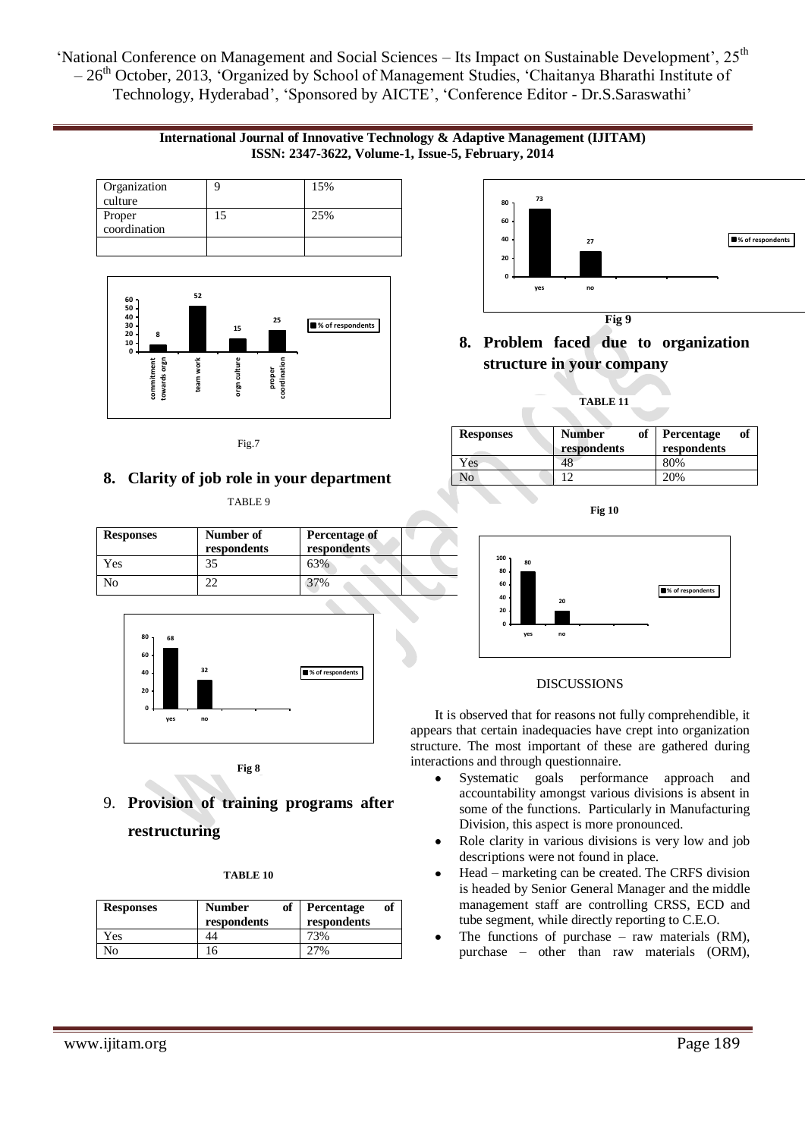#### **International Journal of Innovative Technology & Adaptive Management (IJITAM) ISSN: 2347-3622, Volume-1, Issue-5, February, 2014**

| Organization<br>culture |    | 15% |
|-------------------------|----|-----|
| Proper<br>coordination  | 15 | 25% |
|                         |    |     |



Fig.7

## **8. Clarity of job role in your department**

TABLE 9

| <b>Responses</b> | Number of<br>respondents | <b>Percentage of</b><br>respondents |  |
|------------------|--------------------------|-------------------------------------|--|
| Yes              |                          | 63%                                 |  |
| No               |                          | 37%                                 |  |





9. **Provision of training programs after restructuring**

#### **TABLE 10**

| <b>Responses</b> | <b>Number</b><br>of<br>respondents | of<br>Percentage<br>respondents |
|------------------|------------------------------------|---------------------------------|
| Yes              | 14                                 | 73%                             |
| Ñо               | . O                                | 27%                             |



**8. Problem faced due to organization structure in your company**

**TABLE 11**

| <b>Responses</b> | of<br><b>Number</b><br>respondents | of<br>Percentage<br>respondents |
|------------------|------------------------------------|---------------------------------|
| Yes              | 48                                 | 80%                             |
| Nо               |                                    | 20%                             |

**Fig 10**



#### DISCUSSIONS

It is observed that for reasons not fully comprehendible, it appears that certain inadequacies have crept into organization structure. The most important of these are gathered during interactions and through questionnaire.

- Systematic goals performance approach and  $\bullet$ accountability amongst various divisions is absent in some of the functions. Particularly in Manufacturing Division, this aspect is more pronounced.
- Role clarity in various divisions is very low and job descriptions were not found in place.
- Head marketing can be created. The CRFS division is headed by Senior General Manager and the middle management staff are controlling CRSS, ECD and tube segment, while directly reporting to C.E.O.
- The functions of purchase raw materials (RM), purchase – other than raw materials (ORM),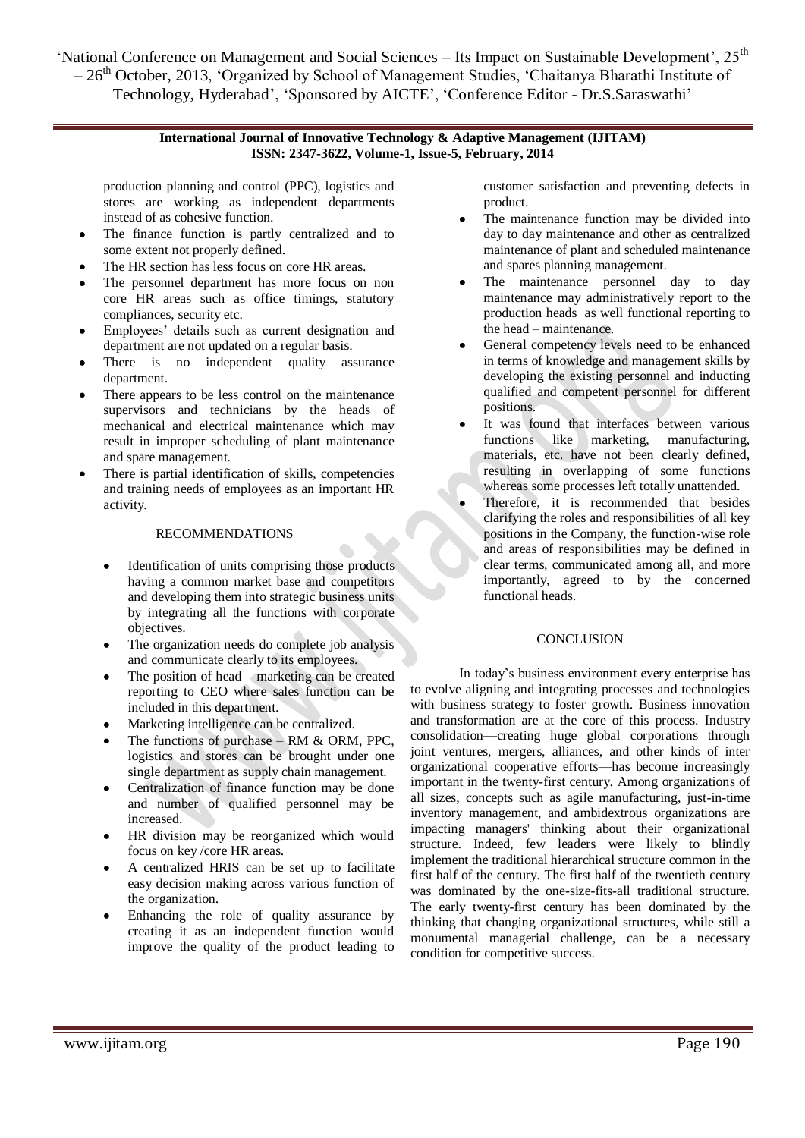#### **International Journal of Innovative Technology & Adaptive Management (IJITAM) ISSN: 2347-3622, Volume-1, Issue-5, February, 2014**

production planning and control (PPC), logistics and stores are working as independent departments instead of as cohesive function.

- The finance function is partly centralized and to some extent not properly defined.
- The HR section has less focus on core HR areas.
- The personnel department has more focus on non core HR areas such as office timings, statutory compliances, security etc.
- Employees' details such as current designation and department are not updated on a regular basis.
- There is no independent quality assurance department.
- There appears to be less control on the maintenance supervisors and technicians by the heads of mechanical and electrical maintenance which may result in improper scheduling of plant maintenance and spare management.
- There is partial identification of skills, competencies and training needs of employees as an important HR activity.

#### RECOMMENDATIONS

- Identification of units comprising those products having a common market base and competitors and developing them into strategic business units by integrating all the functions with corporate objectives.
- The organization needs do complete job analysis and communicate clearly to its employees.
- The position of head marketing can be created reporting to CEO where sales function can be included in this department.
- Marketing intelligence can be centralized.
- The functions of purchase RM & ORM, PPC, logistics and stores can be brought under one single department as supply chain management.
- Centralization of finance function may be done and number of qualified personnel may be increased.
- HR division may be reorganized which would focus on key /core HR areas.
- A centralized HRIS can be set up to facilitate easy decision making across various function of the organization.
- Enhancing the role of quality assurance by creating it as an independent function would improve the quality of the product leading to

customer satisfaction and preventing defects in product.

- The maintenance function may be divided into day to day maintenance and other as centralized maintenance of plant and scheduled maintenance and spares planning management.
- The maintenance personnel day to day maintenance may administratively report to the production heads as well functional reporting to the head – maintenance.
- General competency levels need to be enhanced in terms of knowledge and management skills by developing the existing personnel and inducting qualified and competent personnel for different positions.
- It was found that interfaces between various functions like marketing, manufacturing, materials, etc. have not been clearly defined, resulting in overlapping of some functions whereas some processes left totally unattended.
- Therefore, it is recommended that besides clarifying the roles and responsibilities of all key positions in the Company, the function-wise role and areas of responsibilities may be defined in clear terms, communicated among all, and more importantly, agreed to by the concerned functional heads.

#### **CONCLUSION**

In today's business environment every enterprise has to evolve aligning and integrating processes and technologies with business strategy to foster growth. Business innovation and transformation are at the core of this process. Industry consolidation—creating huge global corporations through joint ventures, mergers, alliances, and other kinds of inter organizational cooperative efforts—has become increasingly important in the twenty-first century. Among organizations of all sizes, concepts such as agile manufacturing, just-in-time inventory management, and ambidextrous organizations are impacting managers' thinking about their organizational structure. Indeed, few leaders were likely to blindly implement the traditional hierarchical structure common in the first half of the century. The first half of the twentieth century was dominated by the one-size-fits-all traditional structure. The early twenty-first century has been dominated by the thinking that changing organizational structures, while still a monumental managerial challenge, can be a necessary condition for competitive success.